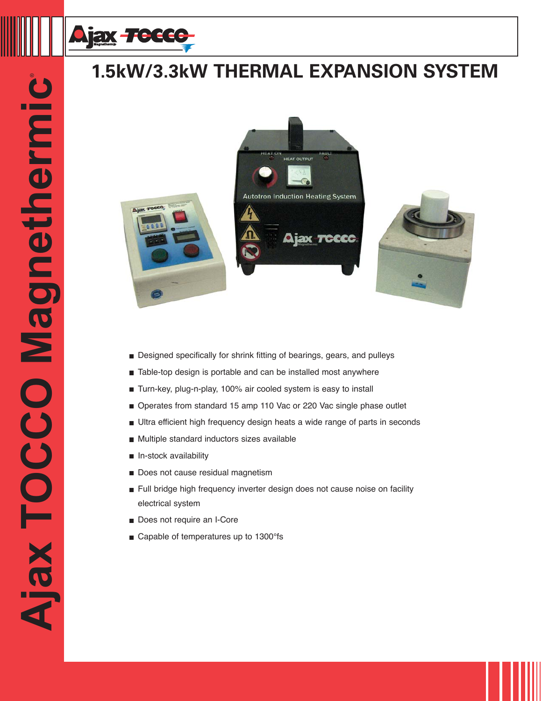

## **1.5kW/3.3kW THERMAL EXPANSION SYSTEM**







**1-800-547-1527**

- **Designed specifically for shrink fitting of bearings, gears, and pulleys**
- Table-top design is portable and can be installed most anywhere
- Turn-key, plug-n-play, 100% air cooled system is easy to install
- Operates from standard 15 amp 110 Vac or 220 Vac single phase outlet
- Ultra efficient high frequency design heats a wide range of parts in seconds
- **Multiple standard inductors sizes available**
- $\blacksquare$  In-stock availability
- Does not cause residual magnetism
- Full bridge high frequency inverter design does not cause noise on facility electrical system
- Does not require an I-Core
- Capable of temperatures up to 1300°fs